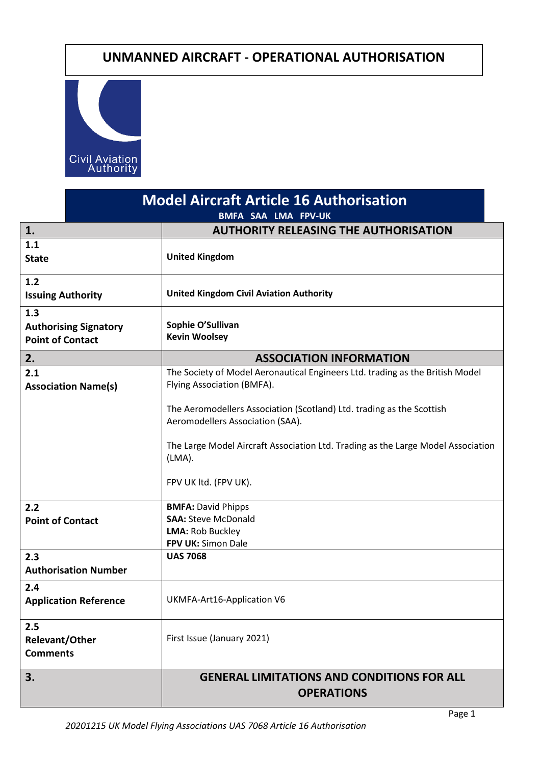# **UNMANNED AIRCRAFT - OPERATIONAL AUTHORISATION**



| <b>Model Aircraft Article 16 Authorisation</b><br><b>BMFA SAA LMA FPV-UK</b> |                                                                                                                                                                                                                                                                                                                                                                                                                                |
|------------------------------------------------------------------------------|--------------------------------------------------------------------------------------------------------------------------------------------------------------------------------------------------------------------------------------------------------------------------------------------------------------------------------------------------------------------------------------------------------------------------------|
| 1.                                                                           | <b>AUTHORITY RELEASING THE AUTHORISATION</b>                                                                                                                                                                                                                                                                                                                                                                                   |
| 1.1<br><b>State</b>                                                          | <b>United Kingdom</b>                                                                                                                                                                                                                                                                                                                                                                                                          |
| $1.2$<br><b>Issuing Authority</b>                                            | <b>United Kingdom Civil Aviation Authority</b>                                                                                                                                                                                                                                                                                                                                                                                 |
| 1.3<br><b>Authorising Signatory</b><br><b>Point of Contact</b>               | Sophie O'Sullivan<br><b>Kevin Woolsey</b>                                                                                                                                                                                                                                                                                                                                                                                      |
| 2.                                                                           | <b>ASSOCIATION INFORMATION</b>                                                                                                                                                                                                                                                                                                                                                                                                 |
| 2.1<br><b>Association Name(s)</b><br>2.2<br><b>Point of Contact</b>          | The Society of Model Aeronautical Engineers Ltd. trading as the British Model<br>Flying Association (BMFA).<br>The Aeromodellers Association (Scotland) Ltd. trading as the Scottish<br>Aeromodellers Association (SAA).<br>The Large Model Aircraft Association Ltd. Trading as the Large Model Association<br>(LMA).<br>FPV UK ltd. (FPV UK).<br><b>BMFA: David Phipps</b><br><b>SAA: Steve McDonald</b><br>LMA: Rob Buckley |
|                                                                              | FPV UK: Simon Dale                                                                                                                                                                                                                                                                                                                                                                                                             |
| 2.3<br><b>Authorisation Number</b>                                           | <b>UAS 7068</b>                                                                                                                                                                                                                                                                                                                                                                                                                |
| 2.4<br><b>Application Reference</b>                                          | UKMFA-Art16-Application V6                                                                                                                                                                                                                                                                                                                                                                                                     |
| 2.5<br><b>Relevant/Other</b><br><b>Comments</b>                              | First Issue (January 2021)                                                                                                                                                                                                                                                                                                                                                                                                     |
| 3.                                                                           | <b>GENERAL LIMITATIONS AND CONDITIONS FOR ALL</b><br><b>OPERATIONS</b>                                                                                                                                                                                                                                                                                                                                                         |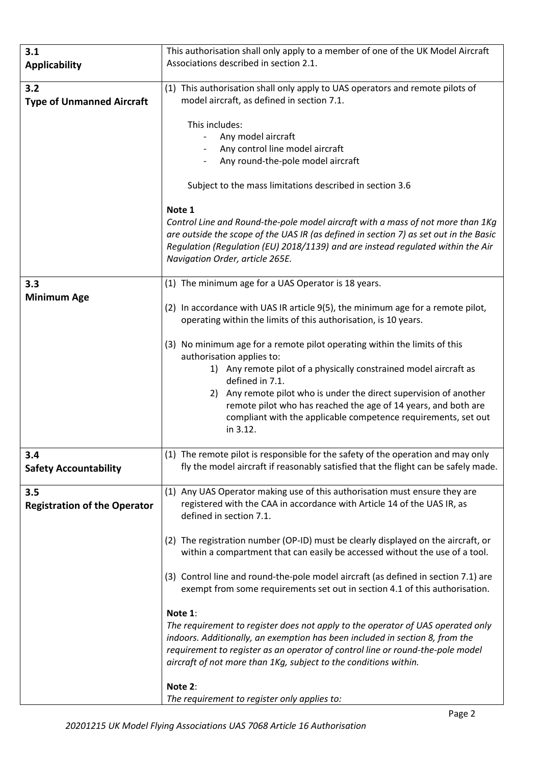| 3.1                                 | This authorisation shall only apply to a member of one of the UK Model Aircraft                                                  |
|-------------------------------------|----------------------------------------------------------------------------------------------------------------------------------|
| <b>Applicability</b>                | Associations described in section 2.1.                                                                                           |
|                                     |                                                                                                                                  |
| 3.2                                 | (1) This authorisation shall only apply to UAS operators and remote pilots of                                                    |
| <b>Type of Unmanned Aircraft</b>    | model aircraft, as defined in section 7.1.                                                                                       |
|                                     |                                                                                                                                  |
|                                     | This includes:                                                                                                                   |
|                                     | Any model aircraft                                                                                                               |
|                                     | Any control line model aircraft                                                                                                  |
|                                     | Any round-the-pole model aircraft                                                                                                |
|                                     |                                                                                                                                  |
|                                     | Subject to the mass limitations described in section 3.6                                                                         |
|                                     | Note 1                                                                                                                           |
|                                     | Control Line and Round-the-pole model aircraft with a mass of not more than 1Kg                                                  |
|                                     | are outside the scope of the UAS IR (as defined in section 7) as set out in the Basic                                            |
|                                     | Regulation (Regulation (EU) 2018/1139) and are instead regulated within the Air                                                  |
|                                     | Navigation Order, article 265E.                                                                                                  |
|                                     |                                                                                                                                  |
| 3.3                                 | (1) The minimum age for a UAS Operator is 18 years.                                                                              |
| <b>Minimum Age</b>                  |                                                                                                                                  |
|                                     | (2) In accordance with UAS IR article 9(5), the minimum age for a remote pilot,                                                  |
|                                     | operating within the limits of this authorisation, is 10 years.                                                                  |
|                                     |                                                                                                                                  |
|                                     | No minimum age for a remote pilot operating within the limits of this<br>(3)                                                     |
|                                     | authorisation applies to:                                                                                                        |
|                                     | 1) Any remote pilot of a physically constrained model aircraft as                                                                |
|                                     | defined in 7.1.                                                                                                                  |
|                                     | Any remote pilot who is under the direct supervision of another<br>2)                                                            |
|                                     | remote pilot who has reached the age of 14 years, and both are<br>compliant with the applicable competence requirements, set out |
|                                     | in 3.12.                                                                                                                         |
|                                     |                                                                                                                                  |
| 3.4                                 | (1) The remote pilot is responsible for the safety of the operation and may only                                                 |
| <b>Safety Accountability</b>        | fly the model aircraft if reasonably satisfied that the flight can be safely made.                                               |
|                                     |                                                                                                                                  |
| 3.5                                 | (1) Any UAS Operator making use of this authorisation must ensure they are                                                       |
| <b>Registration of the Operator</b> | registered with the CAA in accordance with Article 14 of the UAS IR, as                                                          |
|                                     | defined in section 7.1.                                                                                                          |
|                                     |                                                                                                                                  |
|                                     | (2) The registration number (OP-ID) must be clearly displayed on the aircraft, or                                                |
|                                     | within a compartment that can easily be accessed without the use of a tool.                                                      |
|                                     |                                                                                                                                  |
|                                     | (3) Control line and round-the-pole model aircraft (as defined in section 7.1) are                                               |
|                                     | exempt from some requirements set out in section 4.1 of this authorisation.                                                      |
|                                     | Note 1:                                                                                                                          |
|                                     | The requirement to register does not apply to the operator of UAS operated only                                                  |
|                                     | indoors. Additionally, an exemption has been included in section 8, from the                                                     |
|                                     | requirement to register as an operator of control line or round-the-pole model                                                   |
|                                     | aircraft of not more than 1Kg, subject to the conditions within.                                                                 |
|                                     |                                                                                                                                  |
|                                     | Note 2:                                                                                                                          |
|                                     | The requirement to register only applies to:                                                                                     |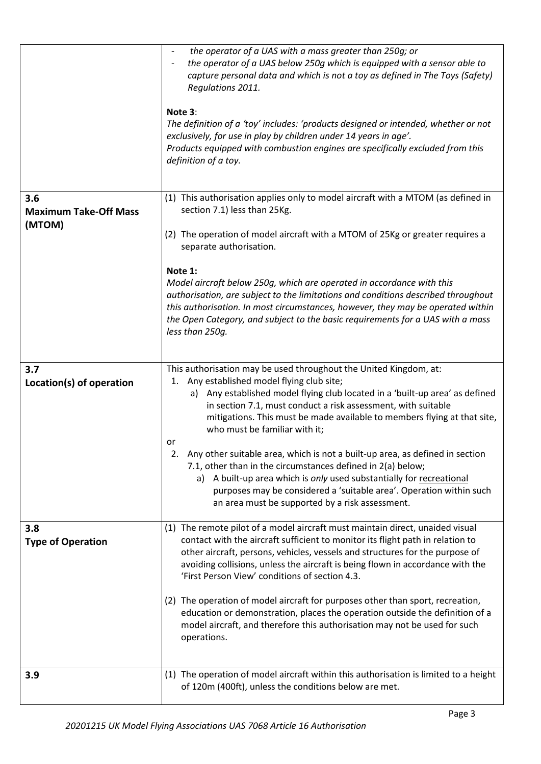|                                               | the operator of a UAS with a mass greater than 250g; or<br>$\overline{\phantom{a}}$<br>the operator of a UAS below 250g which is equipped with a sensor able to<br>capture personal data and which is not a toy as defined in The Toys (Safety)<br>Regulations 2011.<br>Note 3:<br>The definition of a 'toy' includes: 'products designed or intended, whether or not<br>exclusively, for use in play by children under 14 years in age'.<br>Products equipped with combustion engines are specifically excluded from this |
|-----------------------------------------------|----------------------------------------------------------------------------------------------------------------------------------------------------------------------------------------------------------------------------------------------------------------------------------------------------------------------------------------------------------------------------------------------------------------------------------------------------------------------------------------------------------------------------|
|                                               | definition of a toy.                                                                                                                                                                                                                                                                                                                                                                                                                                                                                                       |
| 3.6<br><b>Maximum Take-Off Mass</b><br>(MTOM) | (1) This authorisation applies only to model aircraft with a MTOM (as defined in<br>section 7.1) less than 25Kg.                                                                                                                                                                                                                                                                                                                                                                                                           |
|                                               | (2) The operation of model aircraft with a MTOM of 25Kg or greater requires a<br>separate authorisation.                                                                                                                                                                                                                                                                                                                                                                                                                   |
|                                               | Note 1:<br>Model aircraft below 250g, which are operated in accordance with this<br>authorisation, are subject to the limitations and conditions described throughout<br>this authorisation. In most circumstances, however, they may be operated within<br>the Open Category, and subject to the basic requirements for a UAS with a mass<br>less than 250g.                                                                                                                                                              |
| 3.7<br>Location(s) of operation               | This authorisation may be used throughout the United Kingdom, at:<br>1. Any established model flying club site;<br>a) Any established model flying club located in a 'built-up area' as defined<br>in section 7.1, must conduct a risk assessment, with suitable<br>mitigations. This must be made available to members flying at that site,<br>who must be familiar with it;                                                                                                                                              |
|                                               | or<br>2. Any other suitable area, which is not a built-up area, as defined in section<br>7.1, other than in the circumstances defined in 2(a) below;<br>a) A built-up area which is only used substantially for recreational<br>purposes may be considered a 'suitable area'. Operation within such<br>an area must be supported by a risk assessment.                                                                                                                                                                     |
| 3.8<br><b>Type of Operation</b>               | (1) The remote pilot of a model aircraft must maintain direct, unaided visual<br>contact with the aircraft sufficient to monitor its flight path in relation to<br>other aircraft, persons, vehicles, vessels and structures for the purpose of<br>avoiding collisions, unless the aircraft is being flown in accordance with the<br>'First Person View' conditions of section 4.3.                                                                                                                                        |
|                                               | (2) The operation of model aircraft for purposes other than sport, recreation,<br>education or demonstration, places the operation outside the definition of a<br>model aircraft, and therefore this authorisation may not be used for such<br>operations.                                                                                                                                                                                                                                                                 |
| 3.9                                           | (1) The operation of model aircraft within this authorisation is limited to a height<br>of 120m (400ft), unless the conditions below are met.                                                                                                                                                                                                                                                                                                                                                                              |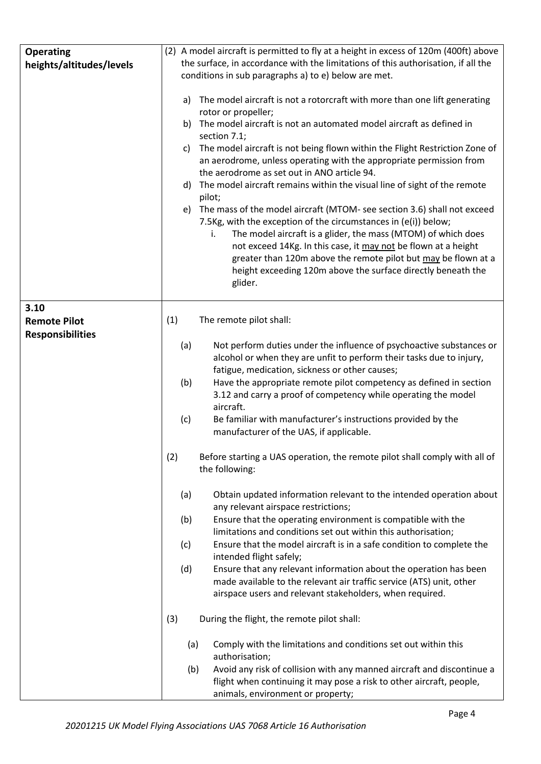| <b>Operating</b><br>heights/altitudes/levels           | (2) A model aircraft is permitted to fly at a height in excess of 120m (400ft) above<br>the surface, in accordance with the limitations of this authorisation, if all the<br>conditions in sub paragraphs a) to e) below are met.<br>a) The model aircraft is not a rotorcraft with more than one lift generating<br>rotor or propeller;<br>b) The model aircraft is not an automated model aircraft as defined in<br>section 7.1;<br>The model aircraft is not being flown within the Flight Restriction Zone of<br>C)<br>an aerodrome, unless operating with the appropriate permission from<br>the aerodrome as set out in ANO article 94.<br>The model aircraft remains within the visual line of sight of the remote<br>d)<br>pilot;<br>e) The mass of the model aircraft (MTOM- see section 3.6) shall not exceed<br>7.5Kg, with the exception of the circumstances in (e(i)) below;<br>The model aircraft is a glider, the mass (MTOM) of which does<br>i.<br>not exceed 14Kg. In this case, it may not be flown at a height<br>greater than 120m above the remote pilot but may be flown at a<br>height exceeding 120m above the surface directly beneath the<br>glider. |
|--------------------------------------------------------|----------------------------------------------------------------------------------------------------------------------------------------------------------------------------------------------------------------------------------------------------------------------------------------------------------------------------------------------------------------------------------------------------------------------------------------------------------------------------------------------------------------------------------------------------------------------------------------------------------------------------------------------------------------------------------------------------------------------------------------------------------------------------------------------------------------------------------------------------------------------------------------------------------------------------------------------------------------------------------------------------------------------------------------------------------------------------------------------------------------------------------------------------------------------------------|
| 3.10<br><b>Remote Pilot</b><br><b>Responsibilities</b> | (1)<br>The remote pilot shall:<br>(a)<br>Not perform duties under the influence of psychoactive substances or<br>alcohol or when they are unfit to perform their tasks due to injury,<br>fatigue, medication, sickness or other causes;<br>(b)<br>Have the appropriate remote pilot competency as defined in section<br>3.12 and carry a proof of competency while operating the model<br>aircraft.                                                                                                                                                                                                                                                                                                                                                                                                                                                                                                                                                                                                                                                                                                                                                                              |
|                                                        | Be familiar with manufacturer's instructions provided by the<br>(c)<br>manufacturer of the UAS, if applicable.<br>(2)<br>Before starting a UAS operation, the remote pilot shall comply with all of<br>the following:<br>Obtain updated information relevant to the intended operation about<br>(a)<br>any relevant airspace restrictions;<br>(b)<br>Ensure that the operating environment is compatible with the<br>limitations and conditions set out within this authorisation;<br>Ensure that the model aircraft is in a safe condition to complete the<br>(c)<br>intended flight safely;<br>(d)<br>Ensure that any relevant information about the operation has been<br>made available to the relevant air traffic service (ATS) unit, other<br>airspace users and relevant stakeholders, when required.<br>(3)<br>During the flight, the remote pilot shall:                                                                                                                                                                                                                                                                                                               |
|                                                        | Comply with the limitations and conditions set out within this<br>(a)<br>authorisation;<br>(b)<br>Avoid any risk of collision with any manned aircraft and discontinue a<br>flight when continuing it may pose a risk to other aircraft, people,<br>animals, environment or property;                                                                                                                                                                                                                                                                                                                                                                                                                                                                                                                                                                                                                                                                                                                                                                                                                                                                                            |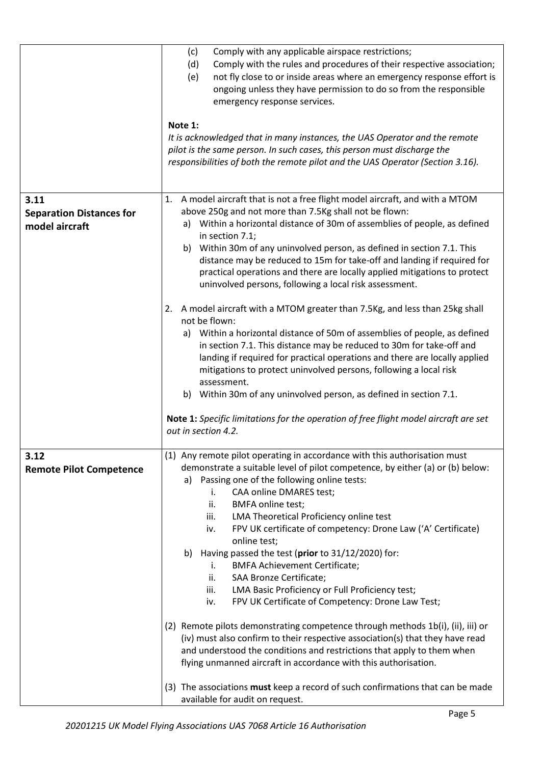|                                                           | (c)<br>Comply with any applicable airspace restrictions;<br>(d)<br>Comply with the rules and procedures of their respective association;<br>not fly close to or inside areas where an emergency response effort is<br>(e)<br>ongoing unless they have permission to do so from the responsible<br>emergency response services.<br>Note 1:<br>It is acknowledged that in many instances, the UAS Operator and the remote<br>pilot is the same person. In such cases, this person must discharge the<br>responsibilities of both the remote pilot and the UAS Operator (Section 3.16).                                                                                                            |
|-----------------------------------------------------------|-------------------------------------------------------------------------------------------------------------------------------------------------------------------------------------------------------------------------------------------------------------------------------------------------------------------------------------------------------------------------------------------------------------------------------------------------------------------------------------------------------------------------------------------------------------------------------------------------------------------------------------------------------------------------------------------------|
| 3.11<br><b>Separation Distances for</b><br>model aircraft | A model aircraft that is not a free flight model aircraft, and with a MTOM<br>1.<br>above 250g and not more than 7.5Kg shall not be flown:<br>Within a horizontal distance of 30m of assemblies of people, as defined<br>a)<br>in section 7.1;<br>b) Within 30m of any uninvolved person, as defined in section 7.1. This<br>distance may be reduced to 15m for take-off and landing if required for<br>practical operations and there are locally applied mitigations to protect<br>uninvolved persons, following a local risk assessment.                                                                                                                                                     |
|                                                           | 2. A model aircraft with a MTOM greater than 7.5Kg, and less than 25kg shall<br>not be flown:<br>Within a horizontal distance of 50m of assemblies of people, as defined<br>a)<br>in section 7.1. This distance may be reduced to 30m for take-off and<br>landing if required for practical operations and there are locally applied<br>mitigations to protect uninvolved persons, following a local risk<br>assessment.<br>b) Within 30m of any uninvolved person, as defined in section 7.1.<br>Note 1: Specific limitations for the operation of free flight model aircraft are set<br>out in section 4.2.                                                                                   |
| 3.12<br><b>Remote Pilot Competence</b>                    | (1) Any remote pilot operating in accordance with this authorisation must<br>demonstrate a suitable level of pilot competence, by either (a) or (b) below:<br>Passing one of the following online tests:<br>a)<br>CAA online DMARES test;<br>i.<br>ii.<br><b>BMFA online test;</b><br>LMA Theoretical Proficiency online test<br>iii.<br>FPV UK certificate of competency: Drone Law ('A' Certificate)<br>iv.<br>online test;<br>Having passed the test (prior to 31/12/2020) for:<br>b)<br><b>BMFA Achievement Certificate;</b><br>i.<br>SAA Bronze Certificate;<br>ii.<br>LMA Basic Proficiency or Full Proficiency test;<br>iii.<br>FPV UK Certificate of Competency: Drone Law Test;<br>iv. |
|                                                           | (2) Remote pilots demonstrating competence through methods 1b(i), (ii), iii) or<br>(iv) must also confirm to their respective association(s) that they have read<br>and understood the conditions and restrictions that apply to them when<br>flying unmanned aircraft in accordance with this authorisation.<br>(3) The associations must keep a record of such confirmations that can be made<br>available for audit on request.                                                                                                                                                                                                                                                              |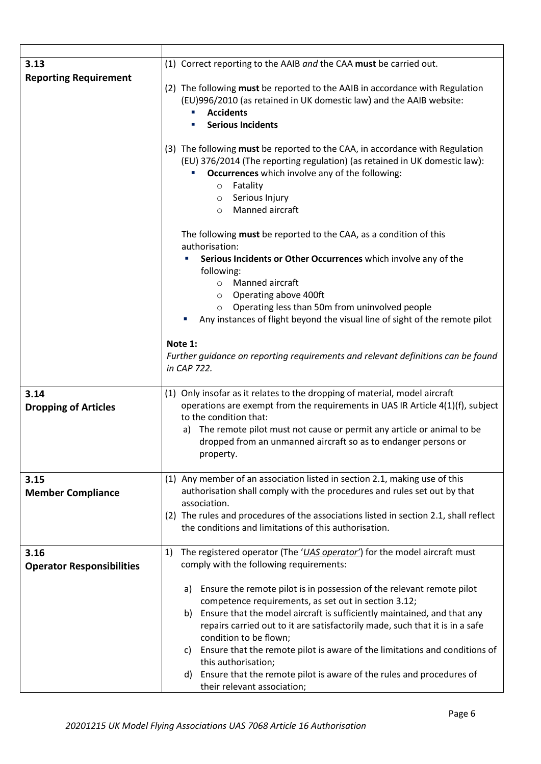| 3.13                                | (1) Correct reporting to the AAIB and the CAA must be carried out.                                                                                                                                                                                                                                                                                                                                                                                                                                     |
|-------------------------------------|--------------------------------------------------------------------------------------------------------------------------------------------------------------------------------------------------------------------------------------------------------------------------------------------------------------------------------------------------------------------------------------------------------------------------------------------------------------------------------------------------------|
| <b>Reporting Requirement</b>        | (2) The following must be reported to the AAIB in accordance with Regulation<br>(EU)996/2010 (as retained in UK domestic law) and the AAIB website:<br><b>Accidents</b><br><b>Serious Incidents</b><br>(3) The following must be reported to the CAA, in accordance with Regulation<br>(EU) 376/2014 (The reporting regulation) (as retained in UK domestic law):<br>Occurrences which involve any of the following:<br>Fatality<br>$\circ$<br>Serious Injury<br>$\circ$<br>Manned aircraft<br>$\circ$ |
|                                     | The following must be reported to the CAA, as a condition of this<br>authorisation:<br>Serious Incidents or Other Occurrences which involve any of the                                                                                                                                                                                                                                                                                                                                                 |
|                                     | following:                                                                                                                                                                                                                                                                                                                                                                                                                                                                                             |
|                                     | Manned aircraft<br>$\circ$                                                                                                                                                                                                                                                                                                                                                                                                                                                                             |
|                                     | Operating above 400ft<br>$\circ$<br>Operating less than 50m from uninvolved people<br>$\circ$                                                                                                                                                                                                                                                                                                                                                                                                          |
|                                     | Any instances of flight beyond the visual line of sight of the remote pilot                                                                                                                                                                                                                                                                                                                                                                                                                            |
|                                     |                                                                                                                                                                                                                                                                                                                                                                                                                                                                                                        |
|                                     | Note 1:                                                                                                                                                                                                                                                                                                                                                                                                                                                                                                |
|                                     | Further guidance on reporting requirements and relevant definitions can be found<br>in CAP 722.                                                                                                                                                                                                                                                                                                                                                                                                        |
| 3.14<br><b>Dropping of Articles</b> | (1) Only insofar as it relates to the dropping of material, model aircraft<br>operations are exempt from the requirements in UAS IR Article 4(1)(f), subject<br>to the condition that:                                                                                                                                                                                                                                                                                                                 |
|                                     | The remote pilot must not cause or permit any article or animal to be<br>a)<br>dropped from an unmanned aircraft so as to endanger persons or<br>property.                                                                                                                                                                                                                                                                                                                                             |
| 3.15                                | (1) Any member of an association listed in section 2.1, making use of this                                                                                                                                                                                                                                                                                                                                                                                                                             |
| <b>Member Compliance</b>            | authorisation shall comply with the procedures and rules set out by that                                                                                                                                                                                                                                                                                                                                                                                                                               |
|                                     | association.<br>(2) The rules and procedures of the associations listed in section 2.1, shall reflect                                                                                                                                                                                                                                                                                                                                                                                                  |
|                                     | the conditions and limitations of this authorisation.                                                                                                                                                                                                                                                                                                                                                                                                                                                  |
|                                     |                                                                                                                                                                                                                                                                                                                                                                                                                                                                                                        |
| 3.16                                | The registered operator (The 'UAS operator') for the model aircraft must<br>1)<br>comply with the following requirements:                                                                                                                                                                                                                                                                                                                                                                              |
| <b>Operator Responsibilities</b>    |                                                                                                                                                                                                                                                                                                                                                                                                                                                                                                        |
|                                     | Ensure the remote pilot is in possession of the relevant remote pilot<br>a)                                                                                                                                                                                                                                                                                                                                                                                                                            |
|                                     | competence requirements, as set out in section 3.12;                                                                                                                                                                                                                                                                                                                                                                                                                                                   |
|                                     | Ensure that the model aircraft is sufficiently maintained, and that any<br>b)                                                                                                                                                                                                                                                                                                                                                                                                                          |
|                                     | repairs carried out to it are satisfactorily made, such that it is in a safe<br>condition to be flown;                                                                                                                                                                                                                                                                                                                                                                                                 |
|                                     | Ensure that the remote pilot is aware of the limitations and conditions of<br>C)                                                                                                                                                                                                                                                                                                                                                                                                                       |
|                                     | this authorisation;                                                                                                                                                                                                                                                                                                                                                                                                                                                                                    |
|                                     | Ensure that the remote pilot is aware of the rules and procedures of<br>d)<br>their relevant association;                                                                                                                                                                                                                                                                                                                                                                                              |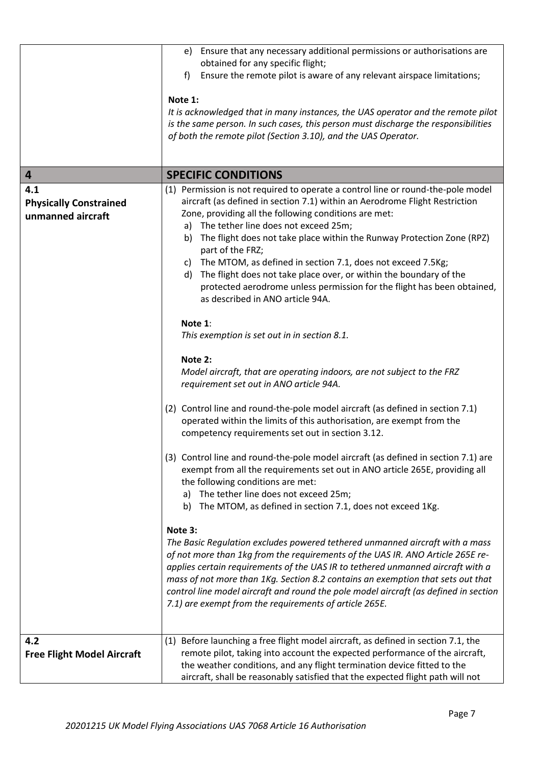|                                                           | e) Ensure that any necessary additional permissions or authorisations are<br>obtained for any specific flight;<br>Ensure the remote pilot is aware of any relevant airspace limitations;<br>f<br>Note 1:<br>It is acknowledged that in many instances, the UAS operator and the remote pilot<br>is the same person. In such cases, this person must discharge the responsibilities<br>of both the remote pilot (Section 3.10), and the UAS Operator.                                                                                                                                                                                                                                                                                                                                 |
|-----------------------------------------------------------|--------------------------------------------------------------------------------------------------------------------------------------------------------------------------------------------------------------------------------------------------------------------------------------------------------------------------------------------------------------------------------------------------------------------------------------------------------------------------------------------------------------------------------------------------------------------------------------------------------------------------------------------------------------------------------------------------------------------------------------------------------------------------------------|
| 4                                                         | <b>SPECIFIC CONDITIONS</b>                                                                                                                                                                                                                                                                                                                                                                                                                                                                                                                                                                                                                                                                                                                                                           |
| 4.1<br><b>Physically Constrained</b><br>unmanned aircraft | (1) Permission is not required to operate a control line or round-the-pole model<br>aircraft (as defined in section 7.1) within an Aerodrome Flight Restriction<br>Zone, providing all the following conditions are met:<br>a) The tether line does not exceed 25m;<br>The flight does not take place within the Runway Protection Zone (RPZ)<br>b)<br>part of the FRZ;<br>c) The MTOM, as defined in section 7.1, does not exceed 7.5Kg;<br>The flight does not take place over, or within the boundary of the<br>d)<br>protected aerodrome unless permission for the flight has been obtained,<br>as described in ANO article 94A.<br>Note 1:<br>This exemption is set out in in section 8.1.<br>Note 2:<br>Model aircraft, that are operating indoors, are not subject to the FRZ |
|                                                           | requirement set out in ANO article 94A.<br>(2) Control line and round-the-pole model aircraft (as defined in section 7.1)<br>operated within the limits of this authorisation, are exempt from the<br>competency requirements set out in section 3.12.<br>(3) Control line and round-the-pole model aircraft (as defined in section 7.1) are<br>exempt from all the requirements set out in ANO article 265E, providing all<br>the following conditions are met:<br>The tether line does not exceed 25m;<br>a)<br>The MTOM, as defined in section 7.1, does not exceed 1Kg.<br>b)<br>Note 3:<br>The Basic Regulation excludes powered tethered unmanned aircraft with a mass<br>of not more than 1kg from the requirements of the UAS IR. ANO Article 265E re-                       |
| 4.2<br><b>Free Flight Model Aircraft</b>                  | applies certain requirements of the UAS IR to tethered unmanned aircraft with a<br>mass of not more than 1Kg. Section 8.2 contains an exemption that sets out that<br>control line model aircraft and round the pole model aircraft (as defined in section<br>7.1) are exempt from the requirements of article 265E.<br>Before launching a free flight model aircraft, as defined in section 7.1, the<br>(1)<br>remote pilot, taking into account the expected performance of the aircraft,<br>the weather conditions, and any flight termination device fitted to the<br>aircraft, shall be reasonably satisfied that the expected flight path will not                                                                                                                             |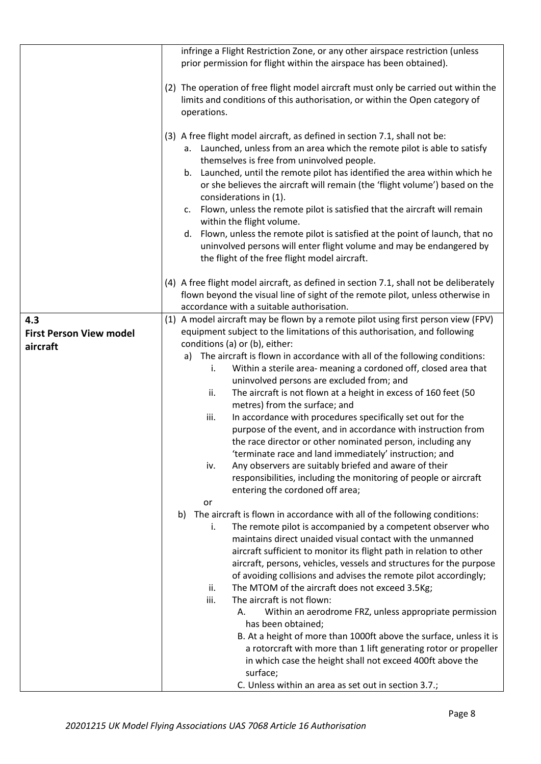|                                                   | infringe a Flight Restriction Zone, or any other airspace restriction (unless                                                                                                                                                                                                                                                                                                                                                                                                                                                                                                                                                                                                                                                                                                                                                                                                                                                                              |
|---------------------------------------------------|------------------------------------------------------------------------------------------------------------------------------------------------------------------------------------------------------------------------------------------------------------------------------------------------------------------------------------------------------------------------------------------------------------------------------------------------------------------------------------------------------------------------------------------------------------------------------------------------------------------------------------------------------------------------------------------------------------------------------------------------------------------------------------------------------------------------------------------------------------------------------------------------------------------------------------------------------------|
|                                                   | prior permission for flight within the airspace has been obtained).                                                                                                                                                                                                                                                                                                                                                                                                                                                                                                                                                                                                                                                                                                                                                                                                                                                                                        |
|                                                   | (2) The operation of free flight model aircraft must only be carried out within the<br>limits and conditions of this authorisation, or within the Open category of<br>operations.                                                                                                                                                                                                                                                                                                                                                                                                                                                                                                                                                                                                                                                                                                                                                                          |
|                                                   | (3) A free flight model aircraft, as defined in section 7.1, shall not be:<br>a. Launched, unless from an area which the remote pilot is able to satisfy<br>themselves is free from uninvolved people.<br>b. Launched, until the remote pilot has identified the area within which he<br>or she believes the aircraft will remain (the 'flight volume') based on the<br>considerations in (1).<br>Flown, unless the remote pilot is satisfied that the aircraft will remain<br>C.<br>within the flight volume.<br>d. Flown, unless the remote pilot is satisfied at the point of launch, that no<br>uninvolved persons will enter flight volume and may be endangered by<br>the flight of the free flight model aircraft.                                                                                                                                                                                                                                  |
|                                                   | (4) A free flight model aircraft, as defined in section 7.1, shall not be deliberately<br>flown beyond the visual line of sight of the remote pilot, unless otherwise in<br>accordance with a suitable authorisation.                                                                                                                                                                                                                                                                                                                                                                                                                                                                                                                                                                                                                                                                                                                                      |
| 4.3<br><b>First Person View model</b><br>aircraft | (1) A model aircraft may be flown by a remote pilot using first person view (FPV)<br>equipment subject to the limitations of this authorisation, and following<br>conditions (a) or (b), either:<br>The aircraft is flown in accordance with all of the following conditions:<br>a)<br>Within a sterile area- meaning a cordoned off, closed area that<br>i.<br>uninvolved persons are excluded from; and<br>The aircraft is not flown at a height in excess of 160 feet (50<br>ii.<br>metres) from the surface; and<br>iii.<br>In accordance with procedures specifically set out for the<br>purpose of the event, and in accordance with instruction from<br>the race director or other nominated person, including any<br>'terminate race and land immediately' instruction; and<br>Any observers are suitably briefed and aware of their<br>iv.<br>responsibilities, including the monitoring of people or aircraft<br>entering the cordoned off area; |
|                                                   | or<br>The aircraft is flown in accordance with all of the following conditions:<br>b)<br>The remote pilot is accompanied by a competent observer who<br>i.<br>maintains direct unaided visual contact with the unmanned<br>aircraft sufficient to monitor its flight path in relation to other<br>aircraft, persons, vehicles, vessels and structures for the purpose<br>of avoiding collisions and advises the remote pilot accordingly;<br>The MTOM of the aircraft does not exceed 3.5Kg;<br>ii.<br>iii.<br>The aircraft is not flown:<br>Within an aerodrome FRZ, unless appropriate permission<br>А.<br>has been obtained;<br>B. At a height of more than 1000ft above the surface, unless it is<br>a rotorcraft with more than 1 lift generating rotor or propeller<br>in which case the height shall not exceed 400ft above the<br>surface;<br>C. Unless within an area as set out in section 3.7.;                                                 |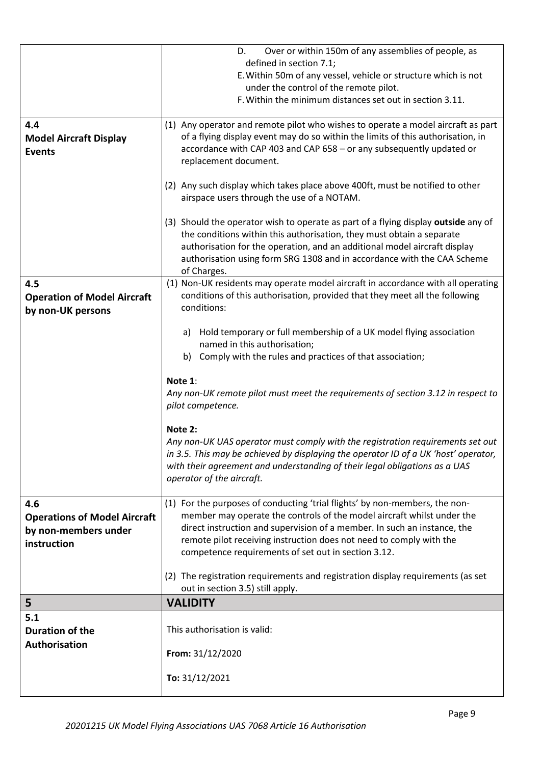|                                     | Over or within 150m of any assemblies of people, as<br>D.                                                                                          |
|-------------------------------------|----------------------------------------------------------------------------------------------------------------------------------------------------|
|                                     | defined in section 7.1;                                                                                                                            |
|                                     | E. Within 50m of any vessel, vehicle or structure which is not                                                                                     |
|                                     | under the control of the remote pilot.                                                                                                             |
|                                     | F. Within the minimum distances set out in section 3.11.                                                                                           |
| 4.4                                 | (1) Any operator and remote pilot who wishes to operate a model aircraft as part                                                                   |
| <b>Model Aircraft Display</b>       | of a flying display event may do so within the limits of this authorisation, in                                                                    |
| <b>Events</b>                       | accordance with CAP 403 and CAP 658 - or any subsequently updated or                                                                               |
|                                     | replacement document.                                                                                                                              |
|                                     | (2) Any such display which takes place above 400ft, must be notified to other                                                                      |
|                                     | airspace users through the use of a NOTAM.                                                                                                         |
|                                     |                                                                                                                                                    |
|                                     | (3) Should the operator wish to operate as part of a flying display outside any of                                                                 |
|                                     | the conditions within this authorisation, they must obtain a separate<br>authorisation for the operation, and an additional model aircraft display |
|                                     | authorisation using form SRG 1308 and in accordance with the CAA Scheme                                                                            |
|                                     | of Charges.                                                                                                                                        |
| 4.5                                 | (1) Non-UK residents may operate model aircraft in accordance with all operating                                                                   |
| <b>Operation of Model Aircraft</b>  | conditions of this authorisation, provided that they meet all the following                                                                        |
| by non-UK persons                   | conditions:                                                                                                                                        |
|                                     | Hold temporary or full membership of a UK model flying association<br>a)                                                                           |
|                                     | named in this authorisation;                                                                                                                       |
|                                     | b) Comply with the rules and practices of that association;                                                                                        |
|                                     |                                                                                                                                                    |
|                                     | Note 1:                                                                                                                                            |
|                                     | Any non-UK remote pilot must meet the requirements of section 3.12 in respect to                                                                   |
|                                     | pilot competence.                                                                                                                                  |
|                                     | Note 2:                                                                                                                                            |
|                                     | Any non-UK UAS operator must comply with the registration requirements set out                                                                     |
|                                     | in 3.5. This may be achieved by displaying the operator ID of a UK 'host' operator,                                                                |
|                                     | with their agreement and understanding of their legal obligations as a UAS                                                                         |
|                                     | operator of the aircraft.                                                                                                                          |
| 4.6                                 | (1) For the purposes of conducting 'trial flights' by non-members, the non-                                                                        |
| <b>Operations of Model Aircraft</b> | member may operate the controls of the model aircraft whilst under the                                                                             |
| by non-members under                | direct instruction and supervision of a member. In such an instance, the                                                                           |
| instruction                         | remote pilot receiving instruction does not need to comply with the                                                                                |
|                                     | competence requirements of set out in section 3.12.                                                                                                |
|                                     | (2) The registration requirements and registration display requirements (as set                                                                    |
|                                     | out in section 3.5) still apply.                                                                                                                   |
| 5                                   | <b>VALIDITY</b>                                                                                                                                    |
| 5.1                                 |                                                                                                                                                    |
| <b>Duration of the</b>              | This authorisation is valid:                                                                                                                       |
| Authorisation                       |                                                                                                                                                    |
|                                     | From: 31/12/2020                                                                                                                                   |
|                                     | To: 31/12/2021                                                                                                                                     |
|                                     |                                                                                                                                                    |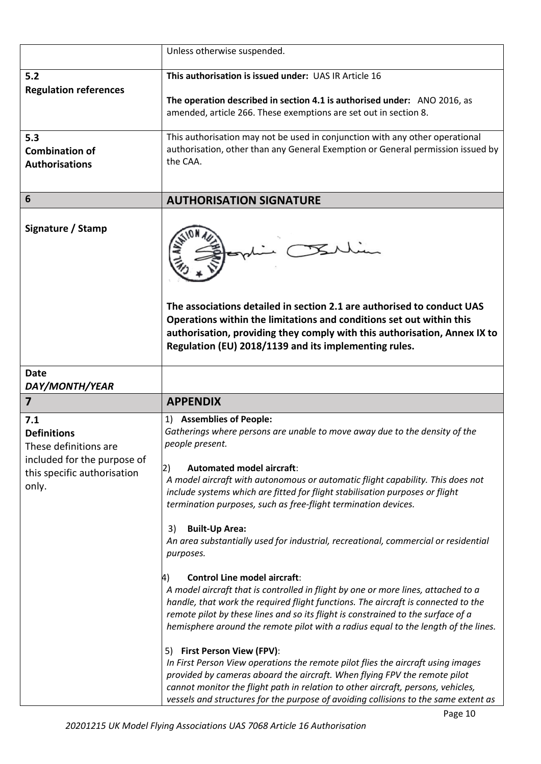|                                                                                                                           | Unless otherwise suspended.                                                                                                                                                                                                                                                                                                                                                                                                                                                                                                                                                                                                                                                                                                                                      |
|---------------------------------------------------------------------------------------------------------------------------|------------------------------------------------------------------------------------------------------------------------------------------------------------------------------------------------------------------------------------------------------------------------------------------------------------------------------------------------------------------------------------------------------------------------------------------------------------------------------------------------------------------------------------------------------------------------------------------------------------------------------------------------------------------------------------------------------------------------------------------------------------------|
| 5.2                                                                                                                       | This authorisation is issued under: UAS IR Article 16                                                                                                                                                                                                                                                                                                                                                                                                                                                                                                                                                                                                                                                                                                            |
| <b>Regulation references</b>                                                                                              | The operation described in section 4.1 is authorised under: ANO 2016, as<br>amended, article 266. These exemptions are set out in section 8.                                                                                                                                                                                                                                                                                                                                                                                                                                                                                                                                                                                                                     |
| 5.3<br><b>Combination of</b><br><b>Authorisations</b>                                                                     | This authorisation may not be used in conjunction with any other operational<br>authorisation, other than any General Exemption or General permission issued by<br>the CAA.                                                                                                                                                                                                                                                                                                                                                                                                                                                                                                                                                                                      |
| 6                                                                                                                         | <b>AUTHORISATION SIGNATURE</b>                                                                                                                                                                                                                                                                                                                                                                                                                                                                                                                                                                                                                                                                                                                                   |
| Signature / Stamp                                                                                                         | The associations detailed in section 2.1 are authorised to conduct UAS<br>Operations within the limitations and conditions set out within this<br>authorisation, providing they comply with this authorisation, Annex IX to<br>Regulation (EU) 2018/1139 and its implementing rules.                                                                                                                                                                                                                                                                                                                                                                                                                                                                             |
| <b>Date</b><br>DAY/MONTH/YEAR                                                                                             |                                                                                                                                                                                                                                                                                                                                                                                                                                                                                                                                                                                                                                                                                                                                                                  |
| $\overline{7}$                                                                                                            | <b>APPENDIX</b>                                                                                                                                                                                                                                                                                                                                                                                                                                                                                                                                                                                                                                                                                                                                                  |
| 7.1<br><b>Definitions</b><br>These definitions are<br>included for the purpose of<br>this specific authorisation<br>only. | 1) Assemblies of People:<br>Gatherings where persons are unable to move away due to the density of the<br>people present.<br><b>Automated model aircraft:</b><br>2)<br>A model aircraft with autonomous or automatic flight capability. This does not<br>include systems which are fitted for flight stabilisation purposes or flight<br>termination purposes, such as free-flight termination devices.<br><b>Built-Up Area:</b><br>3)<br>An area substantially used for industrial, recreational, commercial or residential<br>purposes.<br><b>Control Line model aircraft:</b><br>4)<br>A model aircraft that is controlled in flight by one or more lines, attached to a<br>handle, that work the required flight functions. The aircraft is connected to the |
|                                                                                                                           | remote pilot by these lines and so its flight is constrained to the surface of a<br>hemisphere around the remote pilot with a radius equal to the length of the lines.<br>5) First Person View (FPV):<br>In First Person View operations the remote pilot flies the aircraft using images<br>provided by cameras aboard the aircraft. When flying FPV the remote pilot<br>cannot monitor the flight path in relation to other aircraft, persons, vehicles,<br>vessels and structures for the purpose of avoiding collisions to the same extent as                                                                                                                                                                                                                |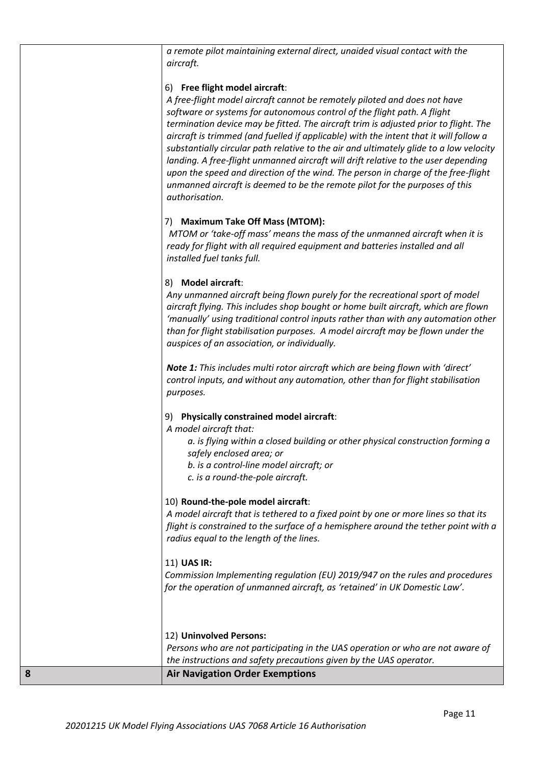*a remote pilot maintaining external direct, unaided visual contact with the aircraft.*

#### 6) **Free flight model aircraft**:

*A free-flight model aircraft cannot be remotely piloted and does not have software or systems for autonomous control of the flight path. A flight termination device may be fitted. The aircraft trim is adjusted prior to flight. The aircraft is trimmed (and fuelled if applicable) with the intent that it will follow a substantially circular path relative to the air and ultimately glide to a low velocity landing. A free-flight unmanned aircraft will drift relative to the user depending upon the speed and direction of the wind. The person in charge of the free-flight unmanned aircraft is deemed to be the remote pilot for the purposes of this authorisation.*

# 7) **Maximum Take Off Mass (MTOM):**

*MTOM or 'take-off mass' means the mass of the unmanned aircraft when it is ready for flight with all required equipment and batteries installed and all installed fuel tanks full.*

#### 8) **Model aircraft**:

*Any unmanned aircraft being flown purely for the recreational sport of model aircraft flying. This includes shop bought or home built aircraft, which are flown 'manually' using traditional control inputs rather than with any automation other than for flight stabilisation purposes. A model aircraft may be flown under the auspices of an association, or individually.*

*Note 1: This includes multi rotor aircraft which are being flown with 'direct' control inputs, and without any automation, other than for flight stabilisation purposes.*

# 9) **Physically constrained model aircraft**:

*A model aircraft that:* 

*a. is flying within a closed building or other physical construction forming a safely enclosed area; or* 

*b. is a control-line model aircraft; or* 

*c. is a round-the-pole aircraft.*

# 10) **Round-the-pole model aircraft**:

*A model aircraft that is tethered to a fixed point by one or more lines so that its flight is constrained to the surface of a hemisphere around the tether point with a radius equal to the length of the lines.*

# 11) **UAS IR:**

*Commission Implementing regulation (EU) 2019/947 on the rules and procedures for the operation of unmanned aircraft, as 'retained' in UK Domestic Law'.* 

#### 12) **Uninvolved Persons:**

*Persons who are not participating in the UAS operation or who are not aware of the instructions and safety precautions given by the UAS operator.*

#### **8 Air Navigation Order Exemptions**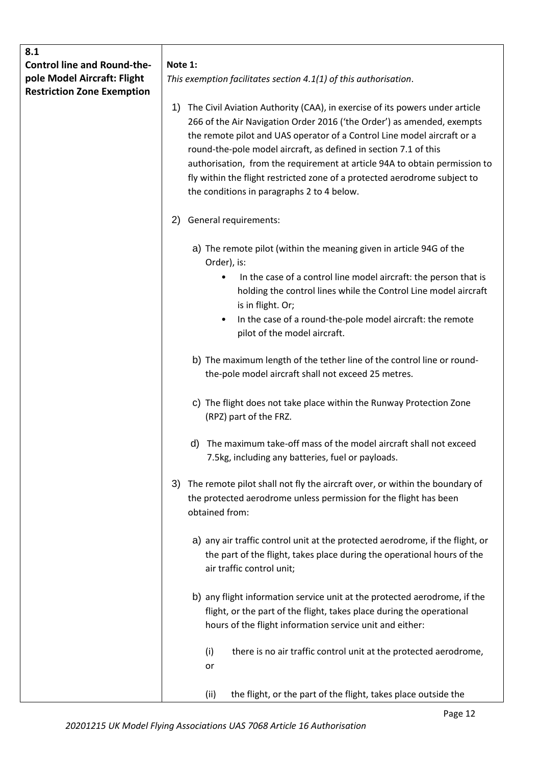| 8.1                                                               |                                                                                                                                                                                                                                        |
|-------------------------------------------------------------------|----------------------------------------------------------------------------------------------------------------------------------------------------------------------------------------------------------------------------------------|
| <b>Control line and Round-the-</b><br>pole Model Aircraft: Flight | Note 1:<br>This exemption facilitates section 4.1(1) of this authorisation.                                                                                                                                                            |
| <b>Restriction Zone Exemption</b>                                 |                                                                                                                                                                                                                                        |
|                                                                   | The Civil Aviation Authority (CAA), in exercise of its powers under article<br>1)<br>266 of the Air Navigation Order 2016 ('the Order') as amended, exempts<br>the remote pilot and UAS operator of a Control Line model aircraft or a |
|                                                                   | round-the-pole model aircraft, as defined in section 7.1 of this                                                                                                                                                                       |
|                                                                   | authorisation, from the requirement at article 94A to obtain permission to<br>fly within the flight restricted zone of a protected aerodrome subject to<br>the conditions in paragraphs 2 to 4 below.                                  |
|                                                                   |                                                                                                                                                                                                                                        |
|                                                                   | General requirements:<br>2)                                                                                                                                                                                                            |
|                                                                   | a) The remote pilot (within the meaning given in article 94G of the<br>Order), is:                                                                                                                                                     |
|                                                                   | In the case of a control line model aircraft: the person that is<br>$\bullet$<br>holding the control lines while the Control Line model aircraft<br>is in flight. Or;                                                                  |
|                                                                   | In the case of a round-the-pole model aircraft: the remote<br>٠<br>pilot of the model aircraft.                                                                                                                                        |
|                                                                   | b) The maximum length of the tether line of the control line or round-<br>the-pole model aircraft shall not exceed 25 metres.                                                                                                          |
|                                                                   | c) The flight does not take place within the Runway Protection Zone<br>(RPZ) part of the FRZ.                                                                                                                                          |
|                                                                   | The maximum take-off mass of the model aircraft shall not exceed<br>d)<br>7.5kg, including any batteries, fuel or payloads.                                                                                                            |
|                                                                   | The remote pilot shall not fly the aircraft over, or within the boundary of<br>3)<br>the protected aerodrome unless permission for the flight has been<br>obtained from:                                                               |
|                                                                   | a) any air traffic control unit at the protected aerodrome, if the flight, or<br>the part of the flight, takes place during the operational hours of the<br>air traffic control unit;                                                  |
|                                                                   | b) any flight information service unit at the protected aerodrome, if the<br>flight, or the part of the flight, takes place during the operational<br>hours of the flight information service unit and either:                         |
|                                                                   | there is no air traffic control unit at the protected aerodrome,<br>(i)<br>or                                                                                                                                                          |
|                                                                   | the flight, or the part of the flight, takes place outside the<br>(ii)                                                                                                                                                                 |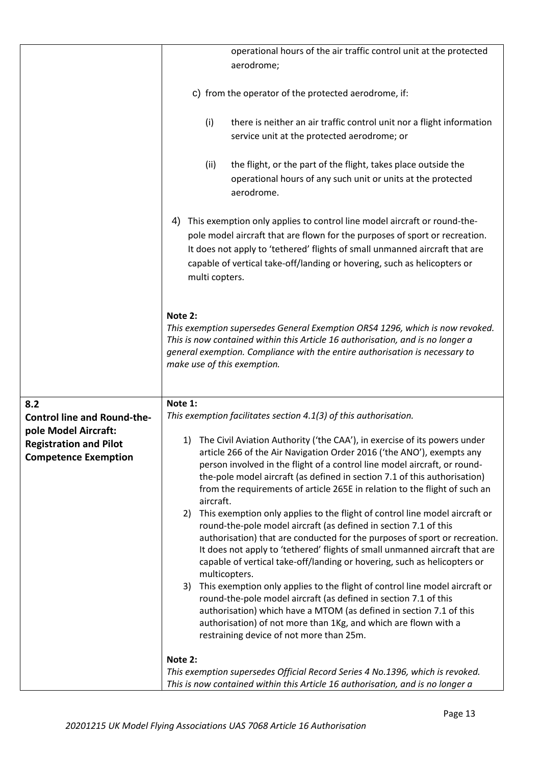|                                    | operational hours of the air traffic control unit at the protected<br>aerodrome;                                                                                                                                                                                                                                                           |
|------------------------------------|--------------------------------------------------------------------------------------------------------------------------------------------------------------------------------------------------------------------------------------------------------------------------------------------------------------------------------------------|
|                                    | c) from the operator of the protected aerodrome, if:                                                                                                                                                                                                                                                                                       |
|                                    | (i)<br>there is neither an air traffic control unit nor a flight information<br>service unit at the protected aerodrome; or                                                                                                                                                                                                                |
|                                    | the flight, or the part of the flight, takes place outside the<br>(ii)<br>operational hours of any such unit or units at the protected<br>aerodrome.                                                                                                                                                                                       |
|                                    | This exemption only applies to control line model aircraft or round-the-<br>4)<br>pole model aircraft that are flown for the purposes of sport or recreation.<br>It does not apply to 'tethered' flights of small unmanned aircraft that are<br>capable of vertical take-off/landing or hovering, such as helicopters or<br>multi copters. |
|                                    | Note 2:<br>This exemption supersedes General Exemption ORS4 1296, which is now revoked.<br>This is now contained within this Article 16 authorisation, and is no longer a<br>general exemption. Compliance with the entire authorisation is necessary to<br>make use of this exemption.                                                    |
| 8.2                                | Note 1:                                                                                                                                                                                                                                                                                                                                    |
|                                    | This exemption facilitates section 4.1(3) of this authorisation.                                                                                                                                                                                                                                                                           |
| <b>Control line and Round-the-</b> |                                                                                                                                                                                                                                                                                                                                            |
| pole Model Aircraft:               | The Civil Aviation Authority ('the CAA'), in exercise of its powers under<br>1)                                                                                                                                                                                                                                                            |
| <b>Registration and Pilot</b>      | article 266 of the Air Navigation Order 2016 ('the ANO'), exempts any                                                                                                                                                                                                                                                                      |
| <b>Competence Exemption</b>        | person involved in the flight of a control line model aircraft, or round-<br>the-pole model aircraft (as defined in section 7.1 of this authorisation)<br>from the requirements of article 265E in relation to the flight of such an                                                                                                       |
|                                    | aircraft.                                                                                                                                                                                                                                                                                                                                  |
|                                    | This exemption only applies to the flight of control line model aircraft or<br>2)                                                                                                                                                                                                                                                          |
|                                    | round-the-pole model aircraft (as defined in section 7.1 of this                                                                                                                                                                                                                                                                           |
|                                    | authorisation) that are conducted for the purposes of sport or recreation.                                                                                                                                                                                                                                                                 |
|                                    | It does not apply to 'tethered' flights of small unmanned aircraft that are                                                                                                                                                                                                                                                                |
|                                    | capable of vertical take-off/landing or hovering, such as helicopters or<br>multicopters.                                                                                                                                                                                                                                                  |
|                                    | This exemption only applies to the flight of control line model aircraft or<br>3)                                                                                                                                                                                                                                                          |
|                                    | round-the-pole model aircraft (as defined in section 7.1 of this                                                                                                                                                                                                                                                                           |
|                                    | authorisation) which have a MTOM (as defined in section 7.1 of this<br>authorisation) of not more than 1Kg, and which are flown with a                                                                                                                                                                                                     |
|                                    | restraining device of not more than 25m.                                                                                                                                                                                                                                                                                                   |
|                                    | Note 2:                                                                                                                                                                                                                                                                                                                                    |
|                                    | This exemption supersedes Official Record Series 4 No.1396, which is revoked.                                                                                                                                                                                                                                                              |
|                                    | This is now contained within this Article 16 authorisation, and is no longer a                                                                                                                                                                                                                                                             |